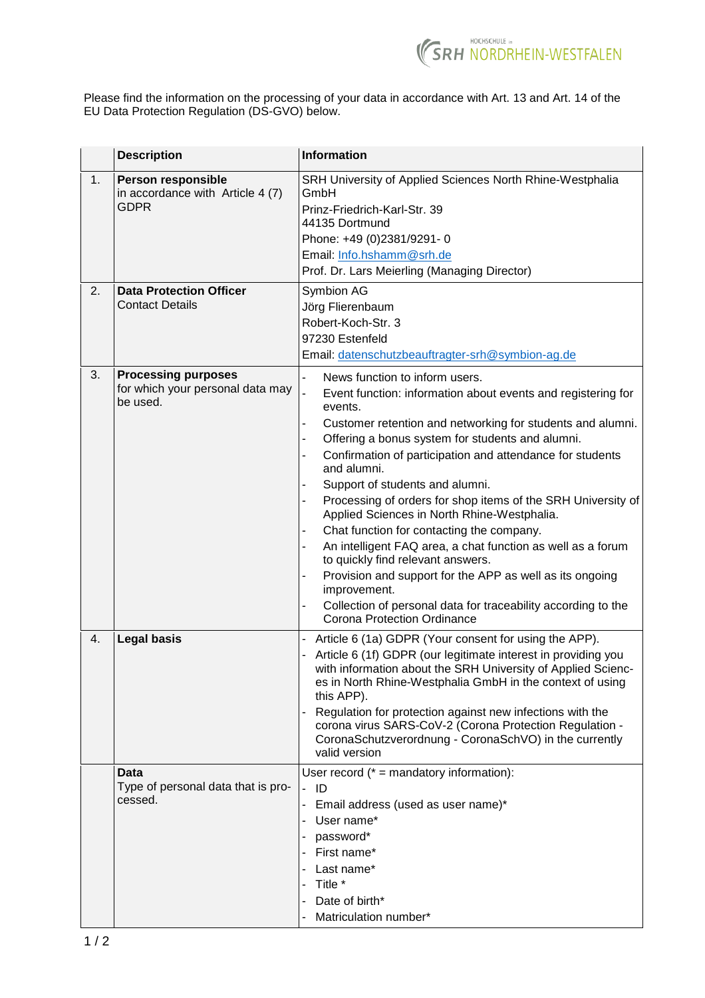

Please find the information on the processing of your data in accordance with Art. 13 and Art. 14 of the EU Data Protection Regulation (DS-GVO) below.

|    | <b>Description</b>                                                           | <b>Information</b>                                                                                                                                                                                                                                                                                                                                                                                                                                                                                                                                                                                                                                                                                                                                                                                                                                                                                                        |
|----|------------------------------------------------------------------------------|---------------------------------------------------------------------------------------------------------------------------------------------------------------------------------------------------------------------------------------------------------------------------------------------------------------------------------------------------------------------------------------------------------------------------------------------------------------------------------------------------------------------------------------------------------------------------------------------------------------------------------------------------------------------------------------------------------------------------------------------------------------------------------------------------------------------------------------------------------------------------------------------------------------------------|
| 1. | <b>Person responsible</b><br>in accordance with Article 4 (7)<br><b>GDPR</b> | SRH University of Applied Sciences North Rhine-Westphalia<br>GmbH<br>Prinz-Friedrich-Karl-Str. 39<br>44135 Dortmund<br>Phone: +49 (0)2381/9291-0<br>Email: Info.hshamm@srh.de<br>Prof. Dr. Lars Meierling (Managing Director)                                                                                                                                                                                                                                                                                                                                                                                                                                                                                                                                                                                                                                                                                             |
| 2. | <b>Data Protection Officer</b><br><b>Contact Details</b>                     | Symbion AG<br>Jörg Flierenbaum<br>Robert-Koch-Str. 3<br>97230 Estenfeld<br>Email: datenschutzbeauftragter-srh@symbion-ag.de                                                                                                                                                                                                                                                                                                                                                                                                                                                                                                                                                                                                                                                                                                                                                                                               |
| 3. | <b>Processing purposes</b><br>for which your personal data may<br>be used.   | News function to inform users.<br>L.<br>$\overline{a}$<br>Event function: information about events and registering for<br>events.<br>Customer retention and networking for students and alumni.<br>$\blacksquare$<br>Offering a bonus system for students and alumni.<br>Confirmation of participation and attendance for students<br>$\blacksquare$<br>and alumni.<br>Support of students and alumni.<br>$\blacksquare$<br>Processing of orders for shop items of the SRH University of<br>$\overline{\phantom{a}}$<br>Applied Sciences in North Rhine-Westphalia.<br>Chat function for contacting the company.<br>An intelligent FAQ area, a chat function as well as a forum<br>to quickly find relevant answers.<br>Provision and support for the APP as well as its ongoing<br>$\blacksquare$<br>improvement.<br>Collection of personal data for traceability according to the<br><b>Corona Protection Ordinance</b> |
| 4. | <b>Legal basis</b>                                                           | Article 6 (1a) GDPR (Your consent for using the APP).<br>- Article 6 (1f) GDPR (our legitimate interest in providing you<br>with information about the SRH University of Applied Scienc-<br>es in North Rhine-Westphalia GmbH in the context of using<br>this APP).<br>Regulation for protection against new infections with the<br>corona virus SARS-CoV-2 (Corona Protection Regulation -<br>CoronaSchutzverordnung - CoronaSchVO) in the currently<br>valid version                                                                                                                                                                                                                                                                                                                                                                                                                                                    |
|    | Data<br>Type of personal data that is pro-<br>cessed.                        | User record $(* =$ mandatory information):<br>- ID<br>- Email address (used as user name)*<br>User name*<br>password*<br>First name*<br>Last name*<br>Title *<br>Date of birth*<br>Matriculation number*                                                                                                                                                                                                                                                                                                                                                                                                                                                                                                                                                                                                                                                                                                                  |